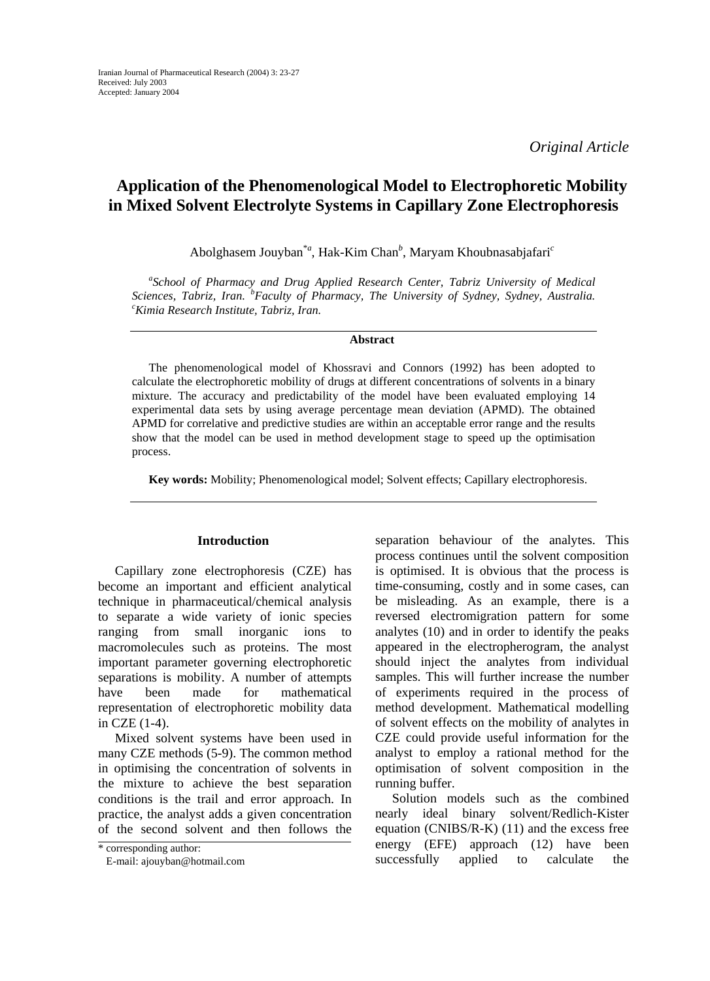*Original Article* 

# **Application of the Phenomenological Model to Electrophoretic Mobility in Mixed Solvent Electrolyte Systems in Capillary Zone Electrophoresis**

Abolghasem Jouyban\**<sup>a</sup>* , Hak-Kim Chan*<sup>b</sup>* , Maryam Khoubnasabjafari*<sup>c</sup>*

*a School of Pharmacy and Drug Applied Research Center, Tabriz University of Medical Sciences, Tabriz, Iran.* <sup>*b*</sup> *Faculty of Pharmacy, The University of Sydney, Sydney, Australia. c c c c in c c construite Tabriz, Iran. Kimia Research Institute, Tabriz, Iran.*

#### **Abstract**

The phenomenological model of Khossravi and Connors (1992) has been adopted to calculate the electrophoretic mobility of drugs at different concentrations of solvents in a binary mixture. The accuracy and predictability of the model have been evaluated employing 14 experimental data sets by using average percentage mean deviation (APMD). The obtained APMD for correlative and predictive studies are within an acceptable error range and the results show that the model can be used in method development stage to speed up the optimisation process.

**Key words:** Mobility; Phenomenological model; Solvent effects; Capillary electrophoresis.

### **Introduction**

Capillary zone electrophoresis (CZE) has become an important and efficient analytical technique in pharmaceutical/chemical analysis to separate a wide variety of ionic species ranging from small inorganic ions to macromolecules such as proteins. The most important parameter governing electrophoretic separations is mobility. A number of attempts have been made for mathematical representation of electrophoretic mobility data in CZE (1-4).

Mixed solvent systems have been used in many CZE methods (5-9). The common method in optimising the concentration of solvents in the mixture to achieve the best separation conditions is the trail and error approach. In practice, the analyst adds a given concentration of the second solvent and then follows the separation behaviour of the analytes. This process continues until the solvent composition is optimised. It is obvious that the process is time-consuming, costly and in some cases, can be misleading. As an example, there is a reversed electromigration pattern for some analytes (10) and in order to identify the peaks appeared in the electropherogram, the analyst should inject the analytes from individual samples. This will further increase the number of experiments required in the process of method development. Mathematical modelling of solvent effects on the mobility of analytes in CZE could provide useful information for the analyst to employ a rational method for the optimisation of solvent composition in the running buffer.

Solution models such as the combined nearly ideal binary solvent/Redlich-Kister equation (CNIBS/R-K) (11) and the excess free energy (EFE) approach (12) have been successfully applied to calculate the

<sup>\*</sup> corresponding author:

E-mail: ajouyban@hotmail.com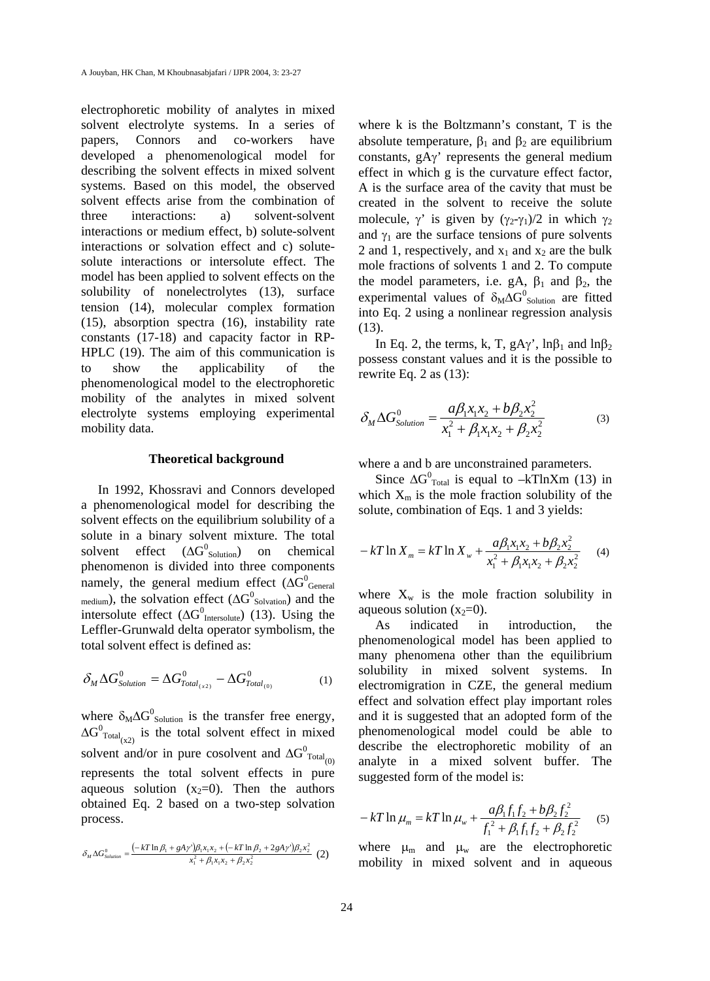electrophoretic mobility of analytes in mixed solvent electrolyte systems. In a series of papers, Connors and co-workers have developed a phenomenological model for describing the solvent effects in mixed solvent systems. Based on this model, the observed solvent effects arise from the combination of three interactions: a) solvent-solvent interactions or medium effect, b) solute-solvent interactions or solvation effect and c) solutesolute interactions or intersolute effect. The model has been applied to solvent effects on the solubility of nonelectrolytes (13), surface tension (14), molecular complex formation (15), absorption spectra (16), instability rate constants (17-18) and capacity factor in RP-HPLC (19). The aim of this communication is to show the applicability of the phenomenological model to the electrophoretic mobility of the analytes in mixed solvent electrolyte systems employing experimental mobility data.

#### **Theoretical background**

In 1992, Khossravi and Connors developed a phenomenological model for describing the solvent effects on the equilibrium solubility of a solute in a binary solvent mixture. The total solvent effect  $(ΔG<sup>0</sup><sub>Solution</sub>)$ on chemical phenomenon is divided into three components namely, the general medium effect ( $\Delta G^0_{\quad \text{General}}$  $_{\text{medium}}$ ), the solvation effect ( $\Delta G_{\text{Solvation}}^0$ ) and the intersolute effect ( $\Delta G^0$ <sub>Intersolute</sub>) (13). Using the Leffler-Grunwald delta operator symbolism, the total solvent effect is defined as:

$$
\delta_M \Delta G_{\text{Solution}}^0 = \Delta G_{\text{Total}_{(x2)}}^0 - \Delta G_{\text{Total}_{(0)}}^0 \tag{1}
$$

where  $\delta_M \Delta G^0$ <sub>Solution</sub> is the transfer free energy,  $\Delta G^0_{\text{Total}_{(\text{x2})}}$  is the total solvent effect in mixed solvent and/or in pure cosolvent and  $\Delta G^0_{\text{Total}}_{(0)}$ represents the total solvent effects in pure aqueous solution  $(x_2=0)$ . Then the authors obtained Eq. 2 based on a two-step solvation process.

$$
\delta_M \Delta G_{\text{Solution}}^0 = \frac{(-kT \ln \beta_1 + gA\gamma')\beta_1 x_1 x_2 + (-kT \ln \beta_2 + 2gA\gamma')\beta_2 x_2^2}{x_1^2 + \beta_1 x_1 x_2 + \beta_2 x_2^2} (2)
$$

where k is the Boltzmann's constant, T is the absolute temperature,  $\beta_1$  and  $\beta_2$  are equilibrium constants, gAγ' represents the general medium effect in which g is the curvature effect factor, A is the surface area of the cavity that must be created in the solvent to receive the solute molecule,  $\gamma'$  is given by  $(\gamma_2-\gamma_1)/2$  in which  $\gamma_2$ and  $\gamma_1$  are the surface tensions of pure solvents 2 and 1, respectively, and  $x_1$  and  $x_2$  are the bulk mole fractions of solvents 1 and 2. To compute the model parameters, i.e. gA,  $\beta_1$  and  $\beta_2$ , the experimental values of  $\delta_M \Delta G^0$ <sub>Solution</sub> are fitted into Eq. 2 using a nonlinear regression analysis (13).

In Eq. 2, the terms, k, T, gA $\gamma'$ , ln $\beta_1$  and ln $\beta_2$ possess constant values and it is the possible to rewrite Eq. 2 as (13):

$$
\delta_M \Delta G_{Solution}^0 = \frac{a\beta_1 x_1 x_2 + b\beta_2 x_2^2}{x_1^2 + \beta_1 x_1 x_2 + \beta_2 x_2^2}
$$
(3)

where a and b are unconstrained parameters.

Since  $\Delta G_{\text{Total}}^0$  is equal to –kTlnXm (13) in which  $X_m$  is the mole fraction solubility of the solute, combination of Eqs. 1 and 3 yields:

$$
-kT\ln X_{m} = kT\ln X_{w} + \frac{a\beta_{1}x_{1}x_{2} + b\beta_{2}x_{2}^{2}}{x_{1}^{2} + \beta_{1}x_{1}x_{2} + \beta_{2}x_{2}^{2}} \tag{4}
$$

where  $X_w$  is the mole fraction solubility in aqueous solution  $(x_2=0)$ .

As indicated in introduction, the phenomenological model has been applied to many phenomena other than the equilibrium solubility in mixed solvent systems. In electromigration in CZE, the general medium effect and solvation effect play important roles and it is suggested that an adopted form of the phenomenological model could be able to describe the electrophoretic mobility of an analyte in a mixed solvent buffer. The suggested form of the model is:

$$
-kT \ln \mu_m = kT \ln \mu_w + \frac{a\beta_1 f_1 f_2 + b\beta_2 f_2^2}{f_1^2 + \beta_1 f_1 f_2 + \beta_2 f_2^2} \tag{5}
$$

where  $\mu_{\rm m}$  and  $\mu_{\rm w}$  are the electrophoretic mobility in mixed solvent and in aqueous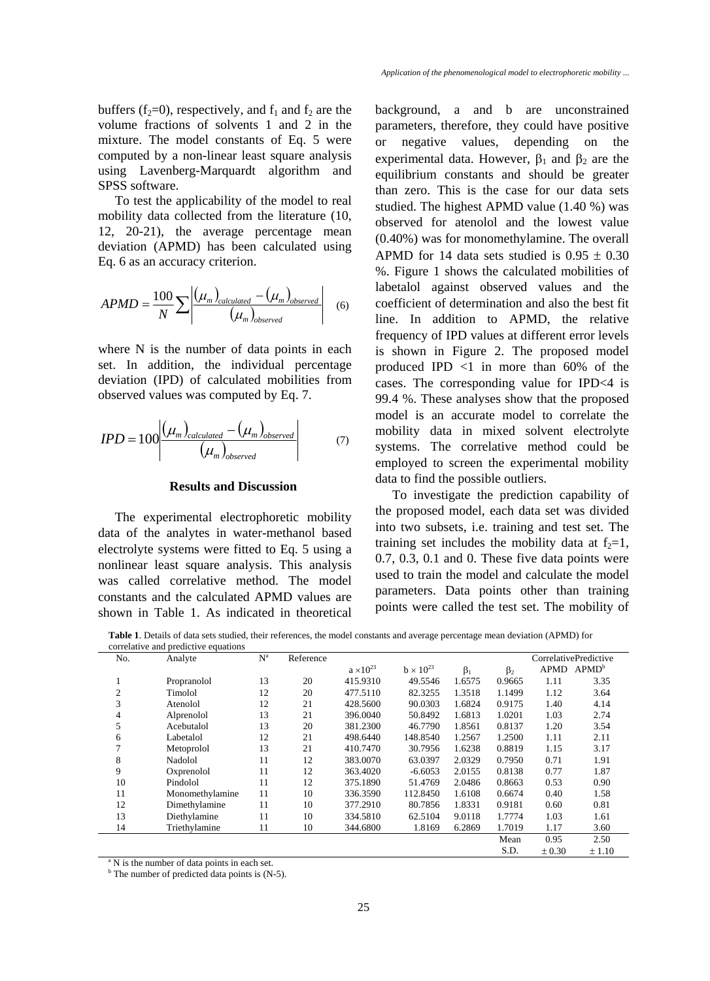buffers (f<sub>2</sub>=0), respectively, and f<sub>1</sub> and f<sub>2</sub> are the volume fractions of solvents 1 and 2 in the mixture. The model constants of Eq. 5 were computed by a non-linear least square analysis using Lavenberg-Marquardt algorithm and SPSS software.

To test the applicability of the model to real mobility data collected from the literature (10, 12, 20-21), the average percentage mean deviation (APMD) has been calculated using Eq. 6 as an accuracy criterion.

$$
APMD = \frac{100}{N} \sum \left| \frac{(\mu_m)_{calculated} - (\mu_m)_{observed}}{(\mu_m)_{observed}} \right| \quad (6)
$$

where N is the number of data points in each set. In addition, the individual percentage deviation (IPD) of calculated mobilities from observed values was computed by Eq. 7.

$$
IPD = 100 \left| \frac{(\mu_m)_{calculated} - (\mu_m)_{observed}}{(\mu_m)_{observed}} \right| \tag{7}
$$

#### **Results and Discussion**

The experimental electrophoretic mobility data of the analytes in water-methanol based electrolyte systems were fitted to Eq. 5 using a nonlinear least square analysis. This analysis was called correlative method. The model constants and the calculated APMD values are shown in Table 1. As indicated in theoretical background, a and b are unconstrained parameters, therefore, they could have positive or negative values, depending on the experimental data. However,  $\beta_1$  and  $\beta_2$  are the equilibrium constants and should be greater than zero. This is the case for our data sets studied. The highest APMD value (1.40 %) was observed for atenolol and the lowest value (0.40%) was for monomethylamine. The overall APMD for 14 data sets studied is  $0.95 \pm 0.30$ %. Figure 1 shows the calculated mobilities of labetalol against observed values and the coefficient of determination and also the best fit line. In addition to APMD, the relative frequency of IPD values at different error levels is shown in Figure 2. The proposed model produced IPD  $\langle 1 \rangle$  in more than 60% of the cases. The corresponding value for IPD<4 is 99.4 %. These analyses show that the proposed model is an accurate model to correlate the mobility data in mixed solvent electrolyte systems. The correlative method could be employed to screen the experimental mobility data to find the possible outliers.

To investigate the prediction capability of the proposed model, each data set was divided into two subsets, i.e. training and test set. The training set includes the mobility data at  $f_2=1$ , 0.7, 0.3, 0.1 and 0. These five data points were used to train the model and calculate the model parameters. Data points other than training points were called the test set. The mobility of

**Table 1**. Details of data sets studied, their references, the model constants and average percentage mean deviation (APMD) for correlative and predictive equations

| No.                                                     | Analyte         | $N^a$ | Reference |                    |                    |           |           | CorrelativePredictive  |        |  |
|---------------------------------------------------------|-----------------|-------|-----------|--------------------|--------------------|-----------|-----------|------------------------|--------|--|
|                                                         |                 |       |           | $a \times 10^{23}$ | $b \times 10^{23}$ | $\beta_1$ | $\beta_2$ | APMD APMD <sup>b</sup> |        |  |
| 1                                                       | Propranolol     | 13    | 20        | 415.9310           | 49.5546            | 1.6575    | 0.9665    | 1.11                   | 3.35   |  |
| $\overline{2}$                                          | Timolol         | 12    | 20        | 477.5110           | 82.3255            | 1.3518    | 1.1499    | 1.12                   | 3.64   |  |
| 3                                                       | Atenolol        | 12    | 21        | 428.5600           | 90.0303            | 1.6824    | 0.9175    | 1.40                   | 4.14   |  |
| 4                                                       | Alprenolol      | 13    | 21        | 396.0040           | 50.8492            | 1.6813    | 1.0201    | 1.03                   | 2.74   |  |
| 5                                                       | Acebutalol      | 13    | 20        | 381.2300           | 46.7790            | 1.8561    | 0.8137    | 1.20                   | 3.54   |  |
| 6                                                       | Labetalol       | 12    | 21        | 498.6440           | 148.8540           | 1.2567    | 1.2500    | 1.11                   | 2.11   |  |
| 7                                                       | Metoprolol      | 13    | 21        | 410.7470           | 30.7956            | 1.6238    | 0.8819    | 1.15                   | 3.17   |  |
| 8                                                       | Nadolol         | 11    | 12        | 383,0070           | 63.0397            | 2.0329    | 0.7950    | 0.71                   | 1.91   |  |
| 9                                                       | Oxprenolol      | 11    | 12        | 363.4020           | $-6.6053$          | 2.0155    | 0.8138    | 0.77                   | 1.87   |  |
| 10                                                      | Pindolol        | 11    | 12        | 375.1890           | 51.4769            | 2.0486    | 0.8663    | 0.53                   | 0.90   |  |
| 11                                                      | Monomethylamine | 11    | 10        | 336.3590           | 112.8450           | 1.6108    | 0.6674    | 0.40                   | 1.58   |  |
| 12                                                      | Dimethylamine   | 11    | 10        | 377.2910           | 80.7856            | 1.8331    | 0.9181    | 0.60                   | 0.81   |  |
| 13                                                      | Diethylamine    | 11    | 10        | 334.5810           | 62.5104            | 9.0118    | 1.7774    | 1.03                   | 1.61   |  |
| 14                                                      | Triethylamine   | 11    | 10        | 344.6800           | 1.8169             | 6.2869    | 1.7019    | 1.17                   | 3.60   |  |
|                                                         |                 |       |           |                    |                    |           | Mean      | 0.95                   | 2.50   |  |
|                                                         |                 |       |           |                    |                    |           | S.D.      | $\pm 0.30$             | ± 1.10 |  |
| <sup>a</sup> N is the number of data points in each set |                 |       |           |                    |                    |           |           |                        |        |  |

<sup>a</sup> N is the number of data points in each set.<br><sup>b</sup> The number of prodicted data points is  $(N_1)$ 

<sup>b</sup> The number of predicted data points is (N-5).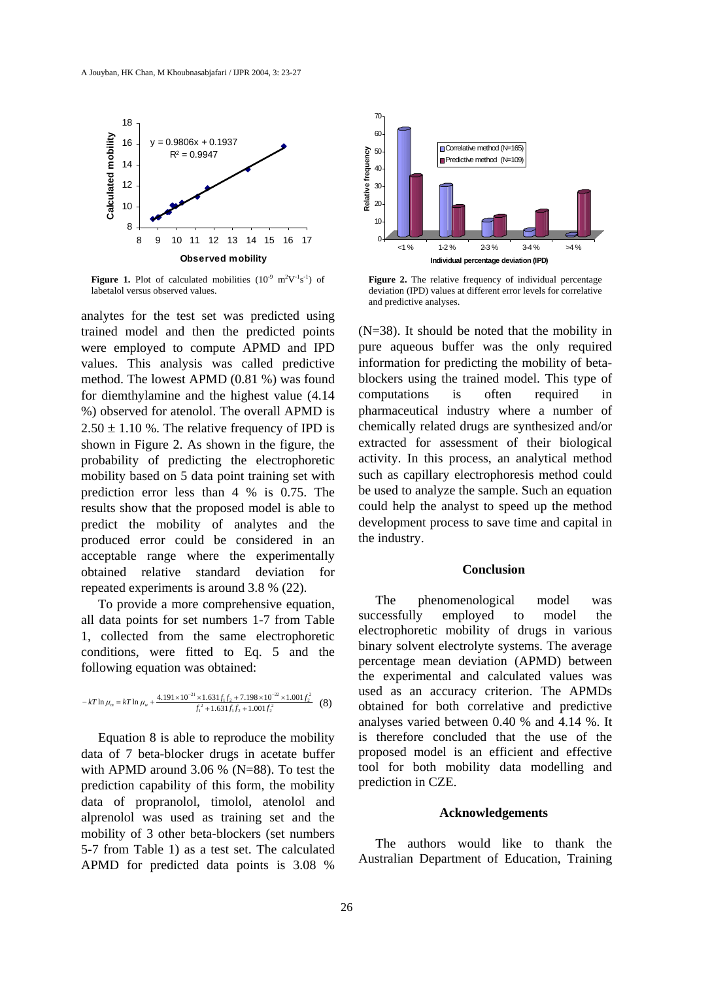

**Figure 1.** Plot of calculated mobilities  $(10^{-9} \text{ m}^2 \text{V}^{-1} \text{s}^{-1})$  of labetalol versus observed values.

analytes for the test set was predicted using trained model and then the predicted points were employed to compute APMD and IPD values. This analysis was called predictive method. The lowest APMD (0.81 %) was found for diemthylamine and the highest value (4.14 %) observed for atenolol. The overall APMD is  $2.50 \pm 1.10$  %. The relative frequency of IPD is shown in Figure 2. As shown in the figure, the probability of predicting the electrophoretic mobility based on 5 data point training set with prediction error less than 4 % is 0.75. The results show that the proposed model is able to predict the mobility of analytes and the produced error could be considered in an acceptable range where the experimentally obtained relative standard deviation for repeated experiments is around 3.8 % (22).

To provide a more comprehensive equation, all data points for set numbers 1-7 from Table 1, collected from the same electrophoretic conditions, were fitted to Eq. 5 and the following equation was obtained:

$$
-kT \ln \mu_m = kT \ln \mu_w + \frac{4.191 \times 10^{-21} \times 1.631 f_1 f_2 + 7.198 \times 10^{-22} \times 1.001 f_2^2}{f_1^2 + 1.631 f_1 f_2 + 1.001 f_2^2}
$$
 (8)

Equation 8 is able to reproduce the mobility data of 7 beta-blocker drugs in acetate buffer with APMD around 3.06 % (N=88). To test the prediction capability of this form, the mobility data of propranolol, timolol, atenolol and alprenolol was used as training set and the mobility of 3 other beta-blockers (set numbers 5-7 from Table 1) as a test set. The calculated APMD for predicted data points is 3.08 %



**Figure 2.** The relative frequency of individual percentage deviation (IPD) values at different error levels for correlative and predictive analyses.

(N=38). It should be noted that the mobility in pure aqueous buffer was the only required information for predicting the mobility of betablockers using the trained model. This type of computations is often required in pharmaceutical industry where a number of chemically related drugs are synthesized and/or extracted for assessment of their biological activity. In this process, an analytical method such as capillary electrophoresis method could be used to analyze the sample. Such an equation could help the analyst to speed up the method development process to save time and capital in the industry.

#### **Conclusion**

The phenomenological model was successfully employed to model the electrophoretic mobility of drugs in various binary solvent electrolyte systems. The average percentage mean deviation (APMD) between the experimental and calculated values was used as an accuracy criterion. The APMDs obtained for both correlative and predictive analyses varied between 0.40 % and 4.14 %. It is therefore concluded that the use of the proposed model is an efficient and effective tool for both mobility data modelling and prediction in CZE.

#### **Acknowledgements**

The authors would like to thank the Australian Department of Education, Training